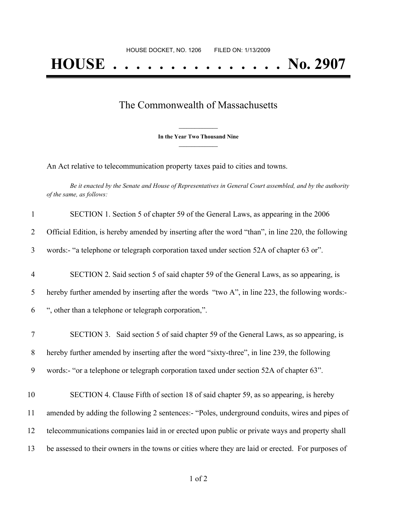## The Commonwealth of Massachusetts

**\_\_\_\_\_\_\_\_\_\_\_\_\_\_\_ In the Year Two Thousand Nine \_\_\_\_\_\_\_\_\_\_\_\_\_\_\_**

An Act relative to telecommunication property taxes paid to cities and towns.

Be it enacted by the Senate and House of Representatives in General Court assembled, and by the authority *of the same, as follows:*

| $\mathbf{1}$   | SECTION 1. Section 5 of chapter 59 of the General Laws, as appearing in the 2006                   |
|----------------|----------------------------------------------------------------------------------------------------|
| $\overline{2}$ | Official Edition, is hereby amended by inserting after the word "than", in line 220, the following |
| 3              | words:- "a telephone or telegraph corporation taxed under section 52A of chapter 63 or".           |
| $\overline{4}$ | SECTION 2. Said section 5 of said chapter 59 of the General Laws, as so appearing, is              |
| 5              | hereby further amended by inserting after the words "two A", in line 223, the following words:-    |
| 6              | ", other than a telephone or telegraph corporation,".                                              |
| $\tau$         | SECTION 3. Said section 5 of said chapter 59 of the General Laws, as so appearing, is              |
| 8              | hereby further amended by inserting after the word "sixty-three", in line 239, the following       |
| 9              | words:- "or a telephone or telegraph corporation taxed under section 52A of chapter 63".           |
| 10             | SECTION 4. Clause Fifth of section 18 of said chapter 59, as so appearing, is hereby               |
| 11             | amended by adding the following 2 sentences:- "Poles, underground conduits, wires and pipes of     |
| 12             | telecommunications companies laid in or erected upon public or private ways and property shall     |
| 13             | be assessed to their owners in the towns or cities where they are laid or erected. For purposes of |